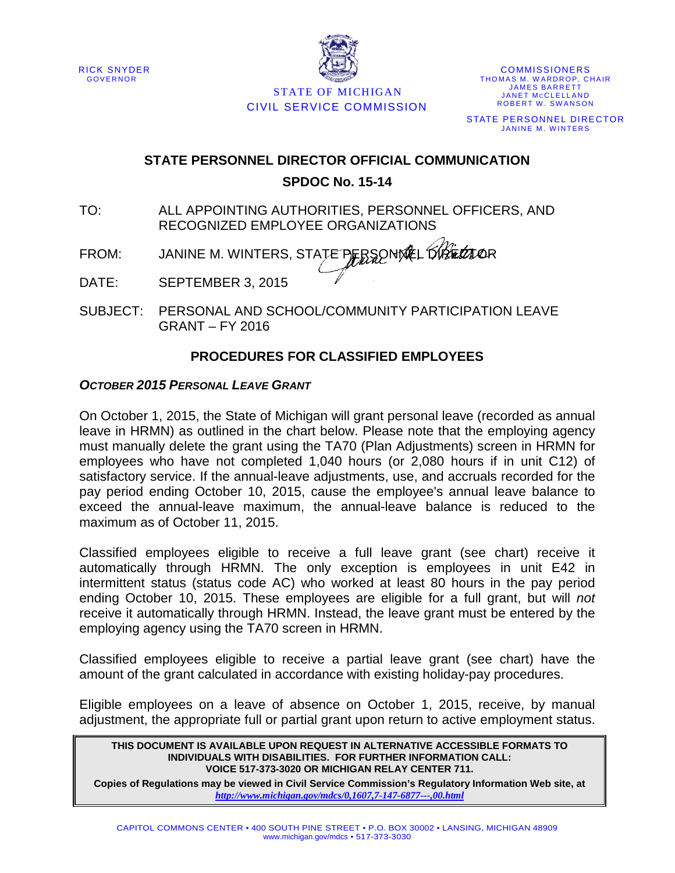



STATE OF MICHIGAN CIVIL SERVICE COMMISSION

**COMMISSIONERS** THOMAS M. WARDROP, CHAIR JAMES BARRETT JANET MCCLELLAND ROBERT W. SWANSON STATE PERSONNEL DIRECTOR JANINE M. WINTERS

# **STATE PERSONNEL DIRECTOR OFFICIAL COMMUNICATION**

**SPDOC No. 15-14**

- TO: ALL APPOINTING AUTHORITIES, PERSONNEL OFFICERS, AND RECOGNIZED EMPLOYEE ORGANIZATIONS
- FROM: JANINE M. WINTERS, STATE PERSONNEL OPERATOR

DATE: SEPTEMBER 3, 2015

SUBJECT: PERSONAL AND SCHOOL/COMMUNITY PARTICIPATION LEAVE GRANT – FY 2016

## **PROCEDURES FOR CLASSIFIED EMPLOYEES**

### *OCTOBER 2015 PERSONAL LEAVE GRANT*

On October 1, 2015, the State of Michigan will grant personal leave (recorded as annual leave in HRMN) as outlined in the chart below. Please note that the employing agency must manually delete the grant using the TA70 (Plan Adjustments) screen in HRMN for employees who have not completed 1,040 hours (or 2,080 hours if in unit C12) of satisfactory service. If the annual-leave adjustments, use, and accruals recorded for the pay period ending October 10, 2015, cause the employee's annual leave balance to exceed the annual-leave maximum, the annual-leave balance is reduced to the maximum as of October 11, 2015.

Classified employees eligible to receive a full leave grant (see chart) receive it automatically through HRMN. The only exception is employees in unit E42 in intermittent status (status code AC) who worked at least 80 hours in the pay period ending October 10, 2015. These employees are eligible for a full grant, but will *not* receive it automatically through HRMN. Instead, the leave grant must be entered by the employing agency using the TA70 screen in HRMN.

Classified employees eligible to receive a partial leave grant (see chart) have the amount of the grant calculated in accordance with existing holiday-pay procedures.

Eligible employees on a leave of absence on October 1, 2015, receive, by manual adjustment, the appropriate full or partial grant upon return to active employment status.

#### **THIS DOCUMENT IS AVAILABLE UPON REQUEST IN ALTERNATIVE ACCESSIBLE FORMATS TO INDIVIDUALS WITH DISABILITIES. FOR FURTHER INFORMATION CALL: VOICE 517-373-3020 OR MICHIGAN RELAY CENTER 711.**

**Copies of Regulations may be viewed in Civil Service Commission's Regulatory Information Web site, at**  *<http://www.michigan.gov/mdcs/0,1607,7-147-6877---,00.html>*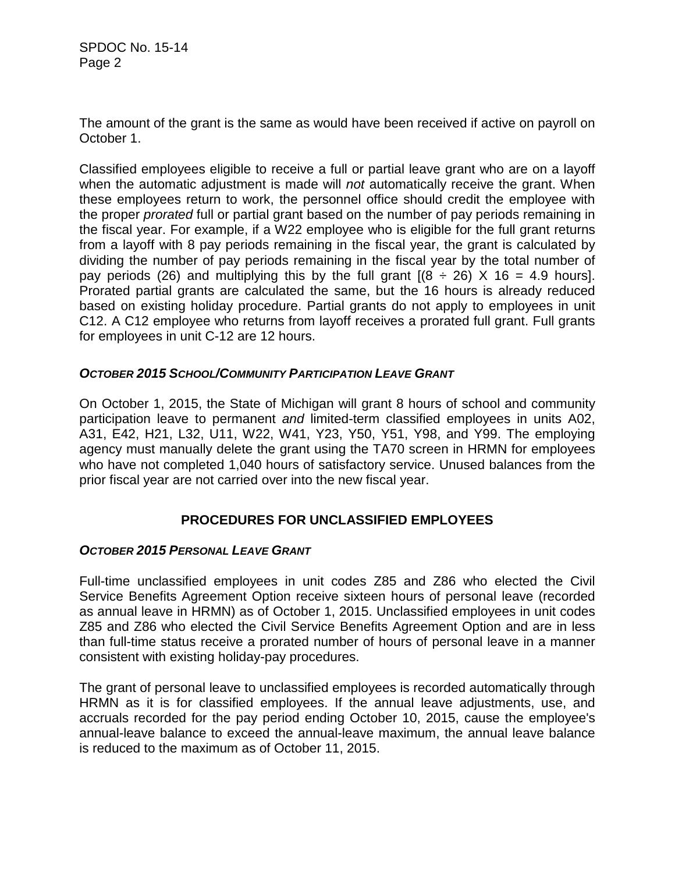SPDOC No. 15-14 Page 2

The amount of the grant is the same as would have been received if active on payroll on October 1.

Classified employees eligible to receive a full or partial leave grant who are on a layoff when the automatic adjustment is made will *not* automatically receive the grant. When these employees return to work, the personnel office should credit the employee with the proper *prorated* full or partial grant based on the number of pay periods remaining in the fiscal year. For example, if a W22 employee who is eligible for the full grant returns from a layoff with 8 pay periods remaining in the fiscal year, the grant is calculated by dividing the number of pay periods remaining in the fiscal year by the total number of pay periods (26) and multiplying this by the full grant  $[(8 \div 26) \times 16 = 4.9$  hours]. Prorated partial grants are calculated the same, but the 16 hours is already reduced based on existing holiday procedure. Partial grants do not apply to employees in unit C12. A C12 employee who returns from layoff receives a prorated full grant. Full grants for employees in unit C-12 are 12 hours.

#### *OCTOBER 2015 SCHOOL/COMMUNITY PARTICIPATION LEAVE GRANT*

On October 1, 2015, the State of Michigan will grant 8 hours of school and community participation leave to permanent *and* limited-term classified employees in units A02, A31, E42, H21, L32, U11, W22, W41, Y23, Y50, Y51, Y98, and Y99. The employing agency must manually delete the grant using the TA70 screen in HRMN for employees who have not completed 1,040 hours of satisfactory service. Unused balances from the prior fiscal year are not carried over into the new fiscal year.

#### **PROCEDURES FOR UNCLASSIFIED EMPLOYEES**

#### *OCTOBER 2015 PERSONAL LEAVE GRANT*

Full-time unclassified employees in unit codes Z85 and Z86 who elected the Civil Service Benefits Agreement Option receive sixteen hours of personal leave (recorded as annual leave in HRMN) as of October 1, 2015. Unclassified employees in unit codes Z85 and Z86 who elected the Civil Service Benefits Agreement Option and are in less than full-time status receive a prorated number of hours of personal leave in a manner consistent with existing holiday-pay procedures.

The grant of personal leave to unclassified employees is recorded automatically through HRMN as it is for classified employees. If the annual leave adjustments, use, and accruals recorded for the pay period ending October 10, 2015, cause the employee's annual-leave balance to exceed the annual-leave maximum, the annual leave balance is reduced to the maximum as of October 11, 2015.